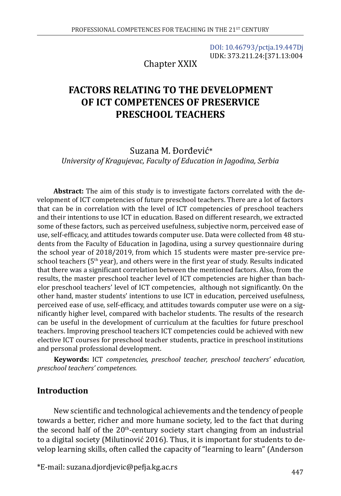[DOI: 10.46793/pctja.19.447Dj](https://doi.org/10.46793/pctja.19.447Dj) UDK: 373.211.24:[371.13:004

Chapter XXIX

# **FACTORS RELATING TO THE DEVELOPMENT OF ICT COMPETENCES OF PRESERVICE PRESCHOOL TEACHERS**

Suzana M. Đorđević\* *University of Kragujevac, Faculty of Education in Jagodina, Serbia*

**Abstract:** The aim of this study is to investigate factors correlated with the development of ICT competencies of future preschool teachers. There are a lot of factors that can be in correlation with the level of ICT competencies of preschool teachers and their intentions to use ICT in education. Based on different research, we extracted some of these factors, such as perceived usefulness, subjective norm, perceived ease of use, self-efficacy, and attitudes towards computer use. Data were collected from 48 students from the Faculty of Education in Jagodina, using a survey questionnaire during the school year of 2018/2019, from which 15 students were master pre-service preschool teachers ( $5<sup>th</sup>$  year), and others were in the first year of study. Results indicated that there was a significant correlation between the mentioned factors. Also, from the results, the master preschool teacher level of ICT competencies are higher than bachelor preschool teachers' level of ICT competencies, although not significantly. On the other hand, master students' intentions to use ICT in education, perceived usefulness, perceived ease of use, self-efficacy, and attitudes towards computer use were on a significantly higher level, compared with bachelor students. The results of the research can be useful in the development of curriculum at the faculties for future preschool teachers. Improving preschool teachers ICT competencies could be achieved with new elective ICT courses for preschool teacher students, practice in preschool institutions and personal professional development.

**Keywords:** ICT *competencies, preschool teacher, preschool teachers' education, preschool teachers' competences.*

#### **Introduction**

New scientific and technological achievements and the tendency of people towards a better, richer and more humane society, led to the fact that during the second half of the  $20<sup>th</sup>$ -century society start changing from an industrial to a digital society (Milutinović 2016). Thus, it is important for students to develop learning skills, often called the capacity of "learning to learn" (Anderson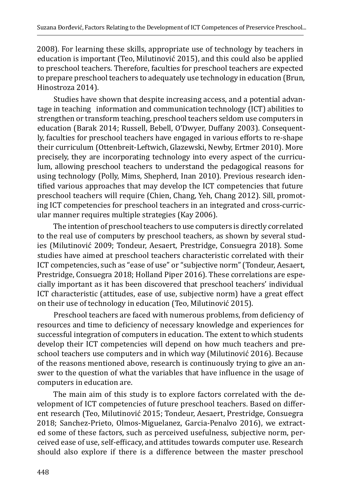2008). For learning these skills, appropriate use of technology by teachers in education is important (Teo, Milutinović 2015), and this could also be applied to preschool teachers. Therefore, faculties for preschool teachers are expected to prepare preschool teachers to adequately use technology in education (Brun, Hinostroza 2014).

Studies have shown that despite increasing access, and a potential advantage in teaching information and communication technology (ICT) abilities to strengthen or transform teaching, preschool teachers seldom use computers in education (Barak 2014; Russell, Bebell, O'Dwyer, Duffany 2003). Consequently, faculties for preschool teachers have engaged in various efforts to re-shape their curriculum (Ottenbreit-Leftwich, Glazewski, Newby, Ertmer 2010). More precisely, they are incorporating technology into every aspect of the curriculum, allowing preschool teachers to understand the pedagogical reasons for using technology (Polly, Mims, Shepherd, Inan 2010). Previous research identified various approaches that may develop the ICT competencies that future preschool teachers will require (Chien, Chang, Yeh, Chang 2012). Sill, promoting ICT competencies for preschool teachers in an integrated and cross-curricular manner requires multiple strategies (Kay 2006).

The intention of preschool teachers to use computers is directly correlated to the real use of computers by preschool teachers, as shown by several studies (Milutinović 2009; Tondeur, Aesaert, Prestridge, Consuegra 2018). Some studies have aimed at preschool teachers characteristic correlated with their ICT competencies, such as "ease of use" or "subjective norm" (Tondeur, Aesaert, Prestridge, Consuegra 2018; Holland Piper 2016). These correlations are especially important as it has been discovered that preschool teachers' individual ICT characteristic (attitudes, ease of use, subjective norm) have a great effect on their use of technology in education (Teo, Milutinović 2015).

Preschool teachers are faced with numerous problems, from deficiency of resources and time to deficiency of necessary knowledge and experiences for successful integration of computers in education. The extent to which students develop their ICT competencies will depend on how much teachers and preschool teachers use computers and in which way (Milutinović 2016). Because of the reasons mentioned above, research is continuously trying to give an answer to the question of what the variables that have influence in the usage of computers in education are.

The main aim of this study is to explore factors correlated with the development of ICT competencies of future preschool teachers. Based on different research (Teo, Milutinović 2015; Tondeur, Aesaert, Prestridge, Consuegra 2018; Sanchez-Prieto, Olmos-Miguelanez, Garcia-Penalvo 2016), we extracted some of these factors, such as perceived usefulness, subjective norm, perceived ease of use, self-efficacy, and attitudes towards computer use. Research should also explore if there is a difference between the master preschool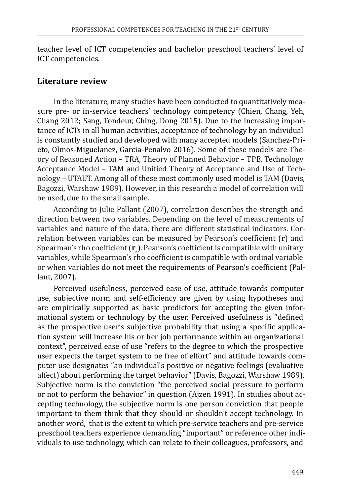teacher level of ICT competencies and bachelor preschool teachers' level of ICT competencies.

### **Literature review**

In the literature, many studies have been conducted to quantitatively measure pre- or in-service teachers' technology competency (Chien, Chang, Yeh, Chang 2012; Sang, Tondeur, Ching, Dong 2015). Due to the increasing importance of ICTs in all human activities, acceptance of technology by an individual is constantly studied and developed with many accepted models (Sanchez-Prieto, Olmos-Miguelanez, Garcia-Penalvo 2016). Some of these models are Theory of Reasoned Action – TRA, Theory of Planned Behavior – TPB, Technology Acceptance Model – TAM and Unified Theory of Acceptance and Use of Technology – UTAUT. Among all of these most commonly used model is TAM (Davis, Bagozzi, Warshaw 1989). However, in this research a model of correlation will be used, due to the small sample.

According to Julie Pallant (2007), correlation describes the strength and direction between two variables. Depending on the level of measurements of variables and nature of the data, there are different statistical indicators. Correlation between variables can be measured by Pearson's coefficient (**r**) and Spearman's rho coefficient (**r**<sub>s</sub>). Pearson's coefficient is compatible with unitary variables, while Spearman's rho coefficient is compatible with ordinal variable or when variables do not meet the requirements of Pearson's coefficient (Pallant, 2007).

Perceived usefulness, perceived ease of use, attitude towards computer use, subjective norm and self-efficiency are given by using hypotheses and are empirically supported as basic predictors for accepting the given informational system or technology by the user. Perceived usefulness is "defined as the prospective user's subjective probability that using a specific application system will increase his or her job performance within an organizational context", perceived ease of use "refers to the degree to which the prospective user expects the target system to be free of effort" and attitude towards computer use designates "an individual's positive or negative feelings (evaluative affect) about performing the target behavior" (Davis, Bagozzi, Warshaw 1989). Subjective norm is the conviction "the perceived social pressure to perform or not to perform the behavior" in question (Ajzen 1991). In studies about accepting technology, the subjective norm is one person conviction that people important to them think that they should or shouldn't accept technology. In another word, that is the extent to which pre-service teachers and pre-service preschool teachers experience demanding "important" or reference other individuals to use technology, which can relate to their colleagues, professors, and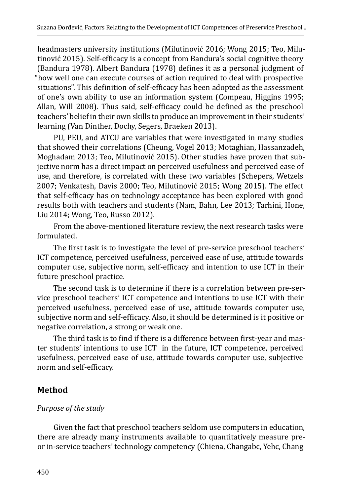headmasters university institutions (Milutinović 2016; Wong 2015; Teo, Milutinović 2015). Self-efficacy is a concept from Bandura's social cognitive theory (Bandura 1978). Albert Bandura (1978) defines it as a personal judgment of "how well one can execute courses of action required to deal with prospective situations". This definition of self-efficacy has been adopted as the assessment of one's own ability to use an information system (Compeau, Higgins 1995; Allan, Will 2008). Thus said, self-efficacy could be defined as the preschool teachers' belief in their own skills to produce an improvement in their students' learning (Van Dinther, Dochy, Segers, Braeken 2013).

PU, PEU, and ATCU are variables that were investigated in many studies that showed their correlations (Cheung, Vogel 2013; Motaghian, Hassanzadeh, Moghadam 2013; Teo, Milutinović 2015). Other studies have proven that subjective norm has a direct impact on perceived usefulness and perceived ease of use, and therefore, is correlated with these two variables (Schepers, Wetzels 2007; Venkatesh, Davis 2000; Teo, Milutinović 2015; Wong 2015). The effect that self-efficacy has on technology acceptance has been explored with good results both with teachers and students (Nam, Bahn, Lee 2013; Tarhini, Hone, Liu 2014; Wong, Teo, Russo 2012).

From the above-mentioned literature review, the next research tasks were formulated.

The first task is to investigate the level of pre-service preschool teachers' ICT competence, perceived usefulness, perceived ease of use, attitude towards computer use, subjective norm, self-efficacy and intention to use ICT in their future preschool practice.

The second task is to determine if there is a correlation between pre-service preschool teachers' ICT competence and intentions to use ICT with their perceived usefulness, perceived ease of use, attitude towards computer use, subjective norm and self-efficacy. Also, it should be determined is it positive or negative correlation, a strong or weak one.

The third task is to find if there is a difference between first-year and master students' intentions to use ICT in the future, ICT competence, perceived usefulness, perceived ease of use, attitude towards computer use, subjective norm and self-efficacy.

## **Method**

## *Purpose of the study*

Given the fact that preschool teachers seldom use computers in education, there are already many instruments available to quantitatively measure preor in-service teachers' technology competency (Chiena, Changabc, Yehc, Chang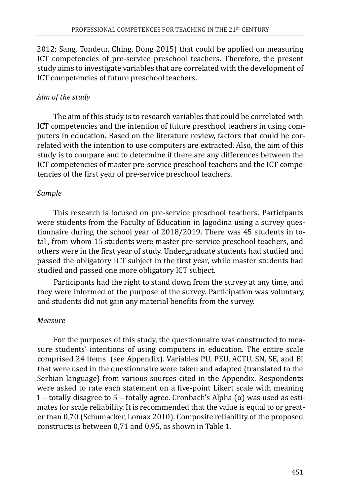2012; Sang, Tondeur, Ching, Dong 2015) that could be applied on measuring ICT competencies of pre-service preschool teachers. Therefore, the present study aims to investigate variables that are correlated with the development of ICT competencies of future preschool teachers.

#### *Aim of the study*

The aim of this study is to research variables that could be correlated with ICT competencies and the intention of future preschool teachers in using computers in education. Based on the literature review, factors that could be correlated with the intention to use computers are extracted. Also, the aim of this study is to compare and to determine if there are any differences between the ICT competencies of master pre-service preschool teachers and the ICT competencies of the first year of pre-service preschool teachers.

#### *Sample*

This research is focused on pre-service preschool teachers. Participants were students from the Faculty of Education in Jagodina using a survey questionnaire during the school year of 2018/2019. There was 45 students in total , from whom 15 students were master pre-service preschool teachers, and others were in the first year of study. Undergraduate students had studied and passed the obligatory ICT subject in the first year, while master students had studied and passed one more obligatory ICT subject.

Participants had the right to stand down from the survey at any time, and they were informed of the purpose of the survey. Participation was voluntary, and students did not gain any material benefits from the survey.

### *Measure*

For the purposes of this study, the questionnaire was constructed to measure students' intentions of using computers in education. The entire scale comprised 24 items (see Appendix). Variables PU, PEU, ACTU, SN, SE, and BI that were used in the questionnaire were taken and adapted (translated to the Serbian language) from various sources cited in the Appendix. Respondents were asked to rate each statement on a five-point Likert scale with meaning 1 – totally disagree to 5 – totally agree. Cronbach's Alpha (α) was used as estimates for scale reliability. It is recommended that the value is equal to or greater than 0,70 (Schumacker, Lomax 2010). Composite reliability of the proposed constructs is between 0,71 and 0,95, as shown in Table 1.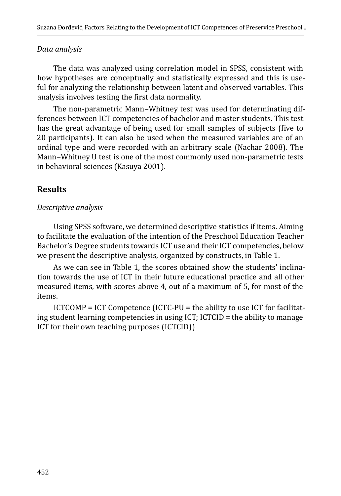#### *Data analysis*

The data was analyzed using correlation model in SPSS, consistent with how hypotheses are conceptually and statistically expressed and this is useful for analyzing the relationship between latent and observed variables. This analysis involves testing the first data normality.

The non-parametric Mann-Whitney test was used for determinating differences between ICT competencies of bachelor and master students. This test has the great advantage of being used for small samples of subjects (five to 20 participants). It can also be used when the measured variables are of an ordinal type and were recorded with an arbitrary scale (Nachar 2008). The Mann-Whitney U test is one of the most commonly used non-parametric tests in behavioral sciences (Kasuya 2001).

## **Results**

#### *Descriptive analysis*

Using SPSS software, we determined descriptive statistics if items. Aiming to facilitate the evaluation of the intention of the Preschool Education Teacher Bachelor's Degree students towards ICT use and their ICT competencies, below we present the descriptive analysis, organized by constructs, in Table 1.

As we can see in Table 1, the scores obtained show the students' inclination towards the use of ICT in their future educational practice and all other measured items, with scores above 4, out of a maximum of 5, for most of the items.

ICTCOMP = ICT Competence (ICTC-PU = the ability to use ICT for facilitating student learning competencies in using ICT; ICTCID = the ability to manage ICT for their own teaching purposes (ICTCID))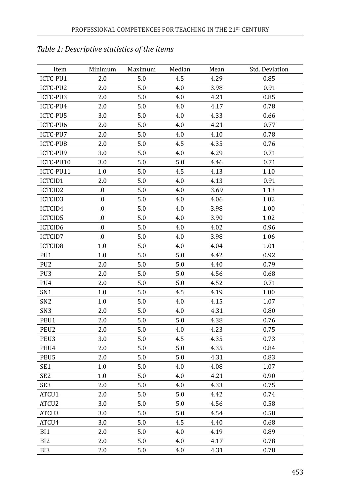| Item              | Minimum | Maximum | Median  | Mean | Std. Deviation |
|-------------------|---------|---------|---------|------|----------------|
| ICTC-PU1          | 2.0     | 5.0     | 4.5     | 4.29 | 0.85           |
| ICTC-PU2          | 2.0     | $5.0\,$ | 4.0     | 3.98 | 0.91           |
| ICTC-PU3          | 2.0     | $5.0\,$ | 4.0     | 4.21 | 0.85           |
| ICTC-PU4          | 2.0     | 5.0     | 4.0     | 4.17 | 0.78           |
| ICTC-PU5          | 3.0     | 5.0     | 4.0     | 4.33 | 0.66           |
| ICTC-PU6          | 2.0     | 5.0     | 4.0     | 4.21 | 0.77           |
| ICTC-PU7          | 2.0     | 5.0     | 4.0     | 4.10 | 0.78           |
| ICTC-PU8          | 2.0     | 5.0     | 4.5     | 4.35 | 0.76           |
| ICTC-PU9          | 3.0     | 5.0     | 4.0     | 4.29 | 0.71           |
| ICTC-PU10         | 3.0     | 5.0     | 5.0     | 4.46 | 0.71           |
| ICTC-PU11         | 1.0     | $5.0\,$ | 4.5     | 4.13 | 1.10           |
| ICTCID1           | 2.0     | 5.0     | 4.0     | 4.13 | 0.91           |
| ICTCID2           | 0.      | 5.0     | 4.0     | 3.69 | 1.13           |
| ICTCID3           | .0      | 5.0     | 4.0     | 4.06 | 1.02           |
| ICTCID4           | 0.      | 5.0     | 4.0     | 3.98 | 1.00           |
| <b>ICTCID5</b>    | 0.      | 5.0     | 4.0     | 3.90 | 1.02           |
| ICTCID6           | 0.      | 5.0     | 4.0     | 4.02 | 0.96           |
| <b>ICTCID7</b>    | 0.      | 5.0     | 4.0     | 3.98 | 1.06           |
| ICTCID8           | 1.0     | $5.0\,$ | 4.0     | 4.04 | 1.01           |
| PU1               | 1.0     | 5.0     | 5.0     | 4.42 | 0.92           |
| PU <sub>2</sub>   | 2.0     | 5.0     | 5.0     | 4.40 | 0.79           |
| PU3               | 2.0     | 5.0     | 5.0     | 4.56 | 0.68           |
| PU4               | 2.0     | 5.0     | 5.0     | 4.52 | 0.71           |
| SN1               | 1.0     | 5.0     | 4.5     | 4.19 | 1.00           |
| SN <sub>2</sub>   | 1.0     | 5.0     | 4.0     | 4.15 | 1.07           |
| SN <sub>3</sub>   | 2.0     | 5.0     | 4.0     | 4.31 | 0.80           |
| PEU1              | 2.0     | 5.0     | $5.0\,$ | 4.38 | 0.76           |
| PEU2              | 2.0     | 5.0     | 4.0     | 4.23 | 0.75           |
| PEU3              | 3.0     | 5.0     | 4.5     | 4.35 | 0.73           |
| PEU4              | 2.0     | 5.0     | $5.0\,$ | 4.35 | 0.84           |
| PEU5              | 2.0     | 5.0     | 5.0     | 4.31 | 0.83           |
| SE <sub>1</sub>   | 1.0     | 5.0     | 4.0     | 4.08 | 1.07           |
| SE <sub>2</sub>   | 1.0     | 5.0     | 4.0     | 4.21 | 0.90           |
| SE <sub>3</sub>   | 2.0     | 5.0     | 4.0     | 4.33 | 0.75           |
| ATCU1             | 2.0     | 5.0     | 5.0     | 4.42 | 0.74           |
| ATCU <sub>2</sub> | 3.0     | $5.0\,$ | 5.0     | 4.56 | 0.58           |
| ATCU3             | 3.0     | 5.0     | $5.0\,$ | 4.54 | 0.58           |
| ATCU4             | $3.0\,$ | 5.0     | 4.5     | 4.40 | 0.68           |
| BI1               | 2.0     | 5.0     | 4.0     | 4.19 | 0.89           |
| BI <sub>2</sub>   | 2.0     | 5.0     | 4.0     | 4.17 | 0.78           |
| BI3               | 2.0     | 5.0     | 4.0     | 4.31 | 0.78           |

# *Table 1: Descriptive statistics of the items*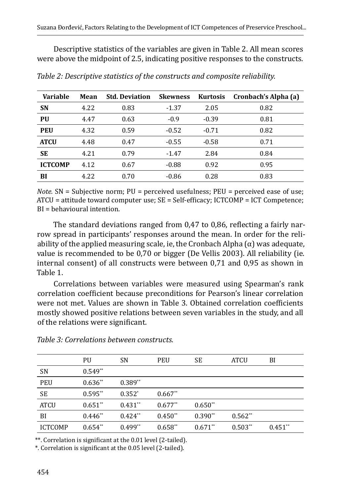Descriptive statistics of the variables are given in Table 2. All mean scores were above the midpoint of 2.5, indicating positive responses to the constructs.

| <b>Variable</b> | Mean | <b>Std. Deviation</b> | <b>Skewness</b> | <b>Kurtosis</b> | Cronbach's Alpha (a) |
|-----------------|------|-----------------------|-----------------|-----------------|----------------------|
| <b>SN</b>       | 4.22 | 0.83                  | $-1.37$         | 2.05            | 0.82                 |
| PU              | 4.47 | 0.63                  | $-0.9$          | $-0.39$         | 0.81                 |
| <b>PEU</b>      | 4.32 | 0.59                  | $-0.52$         | $-0.71$         | 0.82                 |
| <b>ATCU</b>     | 4.48 | 0.47                  | $-0.55$         | $-0.58$         | 0.71                 |
| SE              | 4.21 | 0.79                  | $-1.47$         | 2.84            | 0.84                 |
| <b>ICTCOMP</b>  | 4.12 | 0.67                  | $-0.88$         | 0.92            | 0.95                 |
| BI              | 4.22 | 0.70                  | $-0.86$         | 0.28            | 0.83                 |

*Table 2: Descriptive statistics of the constructs and composite reliability.*

*Note.* SN = Subjective norm; PU = perceived usefulness; PEU = perceived ease of use; ATCU = attitude toward computer use; SE = Self-efficacy; ICTCOMP = ICT Competence; BI = behavioural intention.

The standard deviations ranged from 0,47 to 0,86, reflecting a fairly narrow spread in participants' responses around the mean. In order for the reliability of the applied measuring scale, ie, the Cronbach Alpha  $(\alpha)$  was adequate, value is recommended to be 0,70 or bigger (De Vellis 2003). All reliability (ie. internal consent) of all constructs were between 0,71 and 0,95 as shown in Table 1.

Correlations between variables were measured using Spearman's rank correlation coefficient because preconditions for Pearson's linear correlation were not met. Values are shown in Table 3. Obtained correlation coefficients mostly showed positive relations between seven variables in the study, and all of the relations were significant.

|                | PU         | <b>SN</b> | PEU       | SE        | <b>ATCU</b> | BI        |
|----------------|------------|-----------|-----------|-----------|-------------|-----------|
| <b>SN</b>      | $0.549**$  |           |           |           |             |           |
| PEU            | $0.636**$  | $0.389**$ |           |           |             |           |
| SE             | $0.595**$  | $0.352*$  | $0.667**$ |           |             |           |
| <b>ATCU</b>    | $0.651**$  | $0.431**$ | $0.677**$ | $0.650**$ |             |           |
| BI             | $0.446$ ** | $0.424**$ | $0.450**$ | $0.390**$ | $0.562**$   |           |
| <b>ICTCOMP</b> | $0.654**$  | $0.499**$ | $0.658**$ | $0.671**$ | $0.503**$   | $0.451**$ |

*Table 3: Correlations between constructs.*

\*\*. Correlation is significant at the 0.01 level (2-tailed).

\*. Correlation is significant at the 0.05 level (2-tailed).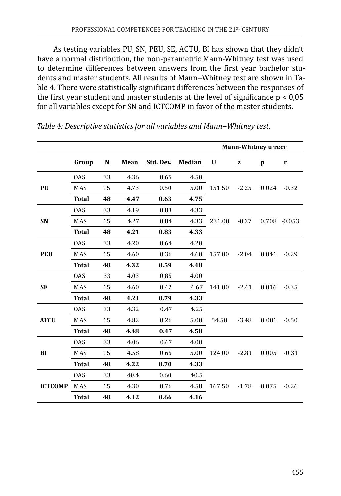As testing variables PU, SN, PEU, SE, ACTU, BI has shown that they didn't have a normal distribution, the non-parametric Mann-Whitney test was used to determine differences between answers from the first year bachelor students and master students. All results of Mann-Whitney test are shown in Table 4. There were statistically significant differences between the responses of the first year student and master students at the level of significance  $p < 0.05$ for all variables except for SN and ICTCOMP in favor of the master students.

|                |              |    |      |           |               | Mann-Whitney u Tect |           |       |                 |
|----------------|--------------|----|------|-----------|---------------|---------------------|-----------|-------|-----------------|
|                | Group        | N  | Mean | Std. Dev. | <b>Median</b> | U                   | ${\bf z}$ | p     | $\mathbf{r}$    |
|                | <b>OAS</b>   | 33 | 4.36 | 0.65      | 4.50          |                     |           |       |                 |
| <b>PU</b>      | <b>MAS</b>   | 15 | 4.73 | 0.50      | 5.00          | 151.50              | $-2.25$   | 0.024 | $-0.32$         |
|                | <b>Total</b> | 48 | 4.47 | 0.63      | 4.75          |                     |           |       |                 |
|                | <b>OAS</b>   | 33 | 4.19 | 0.83      | 4.33          |                     |           |       |                 |
| <b>SN</b>      | <b>MAS</b>   | 15 | 4.27 | 0.84      | 4.33          | 231.00              | $-0.37$   |       | $0.708 - 0.053$ |
|                | <b>Total</b> | 48 | 4.21 | 0.83      | 4.33          |                     |           |       |                 |
| <b>PEU</b>     | <b>OAS</b>   | 33 | 4.20 | 0.64      | 4.20          |                     |           |       |                 |
|                | <b>MAS</b>   | 15 | 4.60 | 0.36      | 4.60          | 157.00              | $-2.04$   | 0.041 | $-0.29$         |
|                | <b>Total</b> | 48 | 4.32 | 0.59      | 4.40          |                     |           |       |                 |
| <b>SE</b>      | <b>OAS</b>   | 33 | 4.03 | 0.85      | 4.00          |                     |           |       |                 |
|                | <b>MAS</b>   | 15 | 4.60 | 0.42      | 4.67          | 141.00              | $-2.41$   | 0.016 | $-0.35$         |
|                | <b>Total</b> | 48 | 4.21 | 0.79      | 4.33          |                     |           |       |                 |
| <b>ATCU</b>    | <b>OAS</b>   | 33 | 4.32 | 0.47      | 4.25          |                     |           |       |                 |
|                | <b>MAS</b>   | 15 | 4.82 | 0.26      | 5.00          | 54.50               | $-3.48$   | 0.001 | $-0.50$         |
|                | <b>Total</b> | 48 | 4.48 | 0.47      | 4.50          |                     |           |       |                 |
|                | <b>OAS</b>   | 33 | 4.06 | 0.67      | 4.00          |                     |           |       |                 |
| BI             | <b>MAS</b>   | 15 | 4.58 | 0.65      | 5.00          | 124.00              | $-2.81$   | 0.005 | $-0.31$         |
|                | <b>Total</b> | 48 | 4.22 | 0.70      | 4.33          |                     |           |       |                 |
|                | <b>OAS</b>   | 33 | 40.4 | 0.60      | 40.5          |                     |           |       |                 |
| <b>ICTCOMP</b> | MAS          | 15 | 4.30 | 0.76      | 4.58          | 167.50              | $-1.78$   | 0.075 | $-0.26$         |
|                | <b>Total</b> | 48 | 4.12 | 0.66      | 4.16          |                     |           |       |                 |

*Table 4: Descriptive statistics for all variables and Mann‒Whitney test.*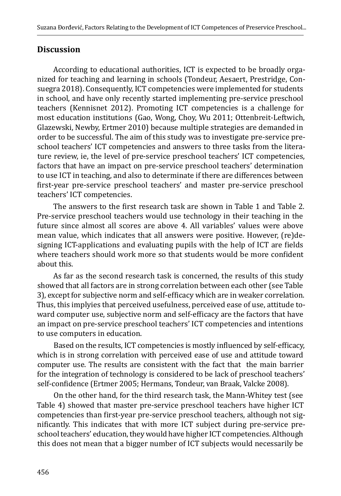### **Discussion**

According to educational authorities, ICT is expected to be broadly organized for teaching and learning in schools (Tondeur, Aesaert, Prestridge, Consuegra 2018). Consequently, ICT competencies were implemented for students in school, and have only recently started implementing pre-service preschool teachers (Kennisnet 2012). Promoting ICT competencies is a challenge for most education institutions (Gao, Wong, Choy, Wu 2011; Ottenbreit-Leftwich, Glazewski, Newby, Ertmer 2010) because multiple strategies are demanded in order to be successful. The aim of this study was to investigate pre-service preschool teachers' ICT competencies and answers to three tasks from the literature review, ie, the level of pre-service preschool teachers' ICT competencies, factors that have an impact on pre-service preschool teachers' determination to use ICT in teaching, and also to determinate if there are differences between first-year pre-service preschool teachers' and master pre-service preschool teachers' ICT competencies.

The answers to the first research task are shown in Table 1 and Table 2. Pre-service preschool teachers would use technology in their teaching in the future since almost all scores are above 4. All variables' values were above mean value, which indicates that all answers were positive. However, (re)designing ICT-applications and evaluating pupils with the help of ICT are fields where teachers should work more so that students would be more confident about this.

As far as the second research task is concerned, the results of this study showed that all factors are in strong correlation between each other (see Table 3), except for subjective norm and self-efficacy which are in weaker correlation. Thus, this implyies that perceived usefulness, perceived ease of use, attitude toward computer use, subjective norm and self-efficacy are the factors that have an impact on pre-service preschool teachers' ICT competencies and intentions to use computers in education.

Based on the results, ICT competencies is mostly influenced by self-efficacy, which is in strong correlation with perceived ease of use and attitude toward computer use. The results are consistent with the fact that the main barrier for the integration of technology is considered to be lack of preschool teachers' self-confidence (Ertmer 2005; Hermans, Tondeur, van Braak, Valcke 2008).

On the other hand, for the third research task, the Mann-Whitey test (see Table 4) showed that master pre-service preschool teachers have higher ICT competencies than first-year pre-service preschool teachers, although not significantly. This indicates that with more ICT subject during pre-service preschool teachers' education, they would have higher ICT competencies. Although this does not mean that a bigger number of ICT subjects would necessarily be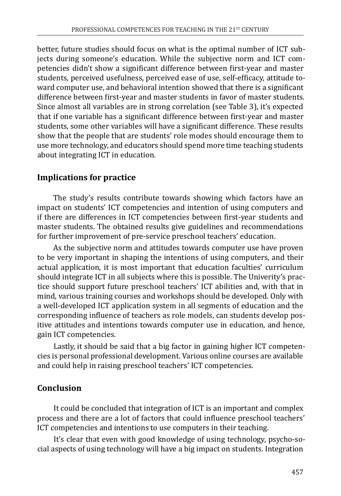better, future studies should focus on what is the optimal number of ICT subjects during someone's education. While the subjective norm and ICT competencies didn't show a significant difference between first-year and master students, perceived usefulness, perceived ease of use, self-efficacy, attitude toward computer use, and behavioral intention showed that there is a significant difference between first-year and master students in favor of master students. Since almost all variables are in strong correlation (see Table 3), it's expected that if one variable has a significant difference between first-year and master students, some other variables will have a significant difference. These results show that the people that are students' role modes should encourage them to use more technology, and educators should spend more time teaching students about integrating ICT in education.

# **Implications for practice**

The study's results contribute towards showing which factors have an impact on students' ICT competencies and intention of using computers and if there are differences in ICT competencies between first-year students and master students. The obtained results give guidelines and recommendations for further improvement of pre-service preschool teachers' education.

As the subjective norm and attitudes towards computer use have proven to be very important in shaping the intentions of using computers, and their actual application, it is most important that education faculties' curriculum should integrate ICT in all subjects where this is possible. The Univerity's practice should support future preschool teachers' ICT abilities and, with that in mind, various training courses and workshops should be developed. Only with a well-developed ICT application system in all segments of education and the corresponding influence of teachers as role models, can students develop positive attitudes and intentions towards computer use in education, and hence, gain ICT competencies.

Lastly, it should be said that a big factor in gaining higher ICT competencies is personal professional development. Various online courses are available and could help in raising preschool teachers' ICT competencies.

# **Conclusion**

It could be concluded that integration of ICT is an important and complex process and there are a lot of factors that could influence preschool teachers' ICT competencies and intentions to use computers in their teaching.

It's clear that even with good knowledge of using technology, psycho-social aspects of using technology will have a big impact on students. Integration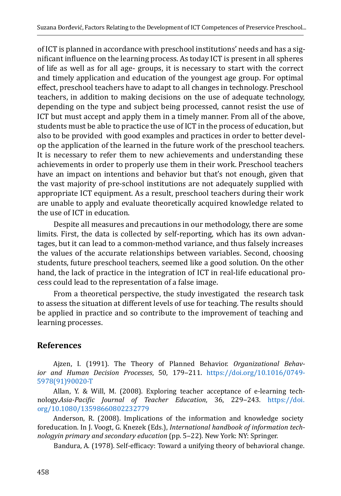of ICT is planned in accordance with preschool institutions' needs and has a significant influence on the learning process. As today ICT is present in all spheres of life as well as for all age- groups, it is necessary to start with the correct and timely application and education of the youngest age group. For optimal effect, preschool teachers have to adapt to all changes in technology. Preschool teachers, in addition to making decisions on the use of adequate technology, depending on the type and subject being processed, cannot resist the use of ICT but must accept and apply them in a timely manner. From all of the above, students must be able to practice the use of ICT in the process of education, but also to be provided with good examples and practices in order to better develop the application of the learned in the future work of the preschool teachers. It is necessary to refer them to new achievements and understanding these achievements in order to properly use them in their work. Preschool teachers have an impact on intentions and behavior but that's not enough, given that the vast majority of pre-school institutions are not adequately supplied with appropriate ICT equipment. As a result, preschool teachers during their work are unable to apply and evaluate theoretically acquired knowledge related to the use of ICT in education.

Despite all measures and precautions in our methodology, there are some limits. First, the data is collected by self-reporting, which has its own advantages, but it can lead to a common-method variance, and thus falsely increases the values of the accurate relationships between variables. Second, choosing students, future preschool teachers, seemed like a good solution. On the other hand, the lack of practice in the integration of ICT in real-life educational process could lead to the representation of a false image.

From a theoretical perspective, the study investigated the research task to assess the situation at different levels of use for teaching. The results should be applied in practice and so contribute to the improvement of teaching and learning processes.

## **References**

Ajzen, I. (1991). The Theory of Planned Behavior. *Organizational Behavior and Human Decision Processes*, 50, 179‒211. [https://doi.org/10.1016/0749-](https://doi.org/10.1016/0749-5978(91)90020-T) [5978\(91\)90020-T](https://doi.org/10.1016/0749-5978(91)90020-T)

Allan, Y. & Will, M. (2008). Exploring teacher acceptance of e-learning technology.*Asia-Pacific Journal of Teacher Education*, 36, 229‒243. [https://doi.](https://doi.org/10.1080/13598660802232779) [org/10.1080/13598660802232779](https://doi.org/10.1080/13598660802232779)

Anderson, R. (2008). Implications of the information and knowledge society foreducation. In J. Voogt, G. Knezek (Eds.), *International handbook of information technologyin primary and secondary education* (pp. 5‒22). New York: NY: Springer.

Bandura, A. (1978). Self-efficacy: Toward a unifying theory of behavioral change.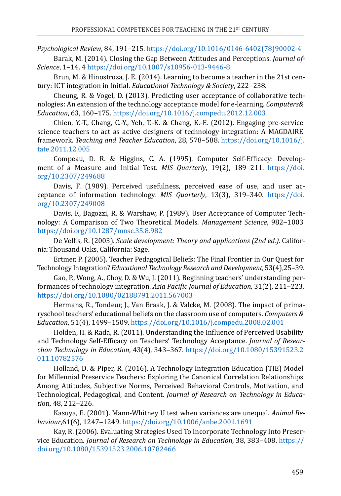*Psychological Review*, 84, 191‒215. [https://doi.org/10.1016/0146-6402\(78\)90002-4](https://doi.org/10.1016/0146-6402(78)90002-4)

Barak, M. (2014). Closing the Gap Between Attitudes and Perceptions. *Journal of-Science*, 1‒14. 4<https://doi.org/10.1007/s10956-013-9446-8>

Brun, M. & Hinostroza, J. E. (2014). Learning to become a teacher in the 21st century: ICT integration in Initial. *Educational Technology & Society*, 222–238.

Cheung, R. & Vogel, D. (2013). Predicting user acceptance of collaborative technologies: An extension of the technology acceptance model for e-learning. *Computers& Education*, 63, 160–175.<https://doi.org/10.1016/j.compedu.2012.12.003>

Chien, Y.-T., Chang, C.-Y., Yeh, T.-K. & Chang, K.-E. (2012). Engaging pre-service science teachers to act as active designers of technology integration: A MAGDAIRE framework. *Teaching and Teacher Education*, 28, 578‒588. [https://doi.org/10.1016/j.](https://doi.org/10.1016/j.tate.2011.12.005) [tate.2011.12.005](https://doi.org/10.1016/j.tate.2011.12.005)

Compeau, D. R. & Higgins, C. A. (1995). Computer Self-Efficacy: Development of a Measure and Initial Test. *MIS Quarterly*, 19(2), 189-211. [https://doi.](https://doi.org/10.2307/249688) [org/10.2307/249688](https://doi.org/10.2307/249688)

Davis, F. (1989). Perceived usefulness, perceived ease of use, and user acceptance of information technology. *MIS Quarterly*, 13(3), 319–340. [https://doi.](https://doi.org/10.2307/249008) [org/10.2307/249008](https://doi.org/10.2307/249008)

Davis, F., Bagozzi, R. & Warshaw, P. (1989). User Acceptance of Computer Technology: A Comparison of Two Theoretical Models. *Management Science*, 982-1003 <https://doi.org/10.1287/mnsc.35.8.982>

De Vellis, R. (2003). *Scale development: Theory and applications (2nd ed.).* California:Thousand Oaks, California: Sage.

Ertmer, P. (2005). Teacher Pedagogical Beliefs: The Final Frontier in Our Quest for Technology Integration? *Educational Technology Research and Development*, 53(4),25–39.

Gao, P., Wong, A., Choy, D. & Wu, J. (2011). Beginning teachers' understanding performances of technology integration. *Asia Pacific Journal of Education*, 31(2), 211‒223. <https://doi.org/10.1080/02188791.2011.567003>

Hermans, R., Tondeur, J., Van Braak, J. & Valcke, M. (2008). The impact of primaryschool teachers' educational beliefs on the classroom use of computers. *Computers & Education*, 51(4), 1499‒1509. <https://doi.org/10.1016/j.compedu.2008.02.001>

Holden, H. & Rada, R. (2011). Understanding the Influence of Perceived Usability and Technology Self-Efficacy on Teachers' Technology Acceptance. *Journal of Researchon Technology in Education*, 43(4), 343‒367. [https://doi.org/10.1080/15391523.2](https://doi.org/10.1080/15391523.2011.10782576) [011.10782576](https://doi.org/10.1080/15391523.2011.10782576)

Holland, D. & Piper, R. (2016). A Technology Integration Education (TIE) Model for Millennial Preservice Teachers: Exploring the Canonical Correlation Relationships Among Attitudes, Subjective Norms, Perceived Behavioral Controls, Motivation, and Technological, Pedagogical, and Content. *Journal of Research on Technology in Educati*on, 48, 212‒226.

Kasuya, E. (2001). Mann-Whitney U test when variances are unequal. *Animal Behaviour*,61(6), 1247‒1249.<https://doi.org/10.1006/anbe.2001.1691>

Kay, R. (2006). Evaluating Strategies Used To Incorporate Technology Into Preservice Education. *Journal of Research on Technology in Education*, 38, 383-408. [https://](https://doi.org/10.1080/15391523.2006.10782466) [doi.org/10.1080/15391523.2006.10782466](https://doi.org/10.1080/15391523.2006.10782466)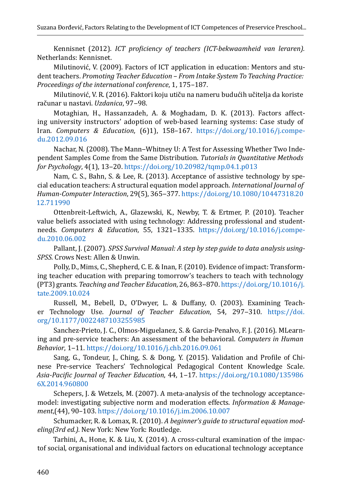Kennisnet (2012). *ICT proficiency of teachers (ICT-bekwaamheid van leraren).* Netherlands: Kennisnet.

Milutinović, V. (2009). Factors of ICT application in education: Mentors and student teachers. *Promoting Teacher Education – From Intake System To Teaching Practice: Proceedings of the international conference*, 1, 175–187.

Milutinović, V. R. (2016). Faktori koju utiču na nameru budućih učitelja da koriste računar u nastavi. *Uzdanica*, 97‒98.

Motaghian, H., Hassanzadeh, A. & Moghadam, D. K. (2013). Factors affecting university instructors' adoption of web-based learning systems: Case study of Iran. *Computers & Education*, (6)1), 158–167. [https://doi.org/10.1016/j.compe](https://doi.org/10.1016/j.compedu.2012.09.016)[du.2012.09.016](https://doi.org/10.1016/j.compedu.2012.09.016)

Nachar, N. (2008). The Mann-Whitney U: A Test for Assessing Whether Two Independent Samples Come from the Same Distribution. *Tutorials in Quantitative Methods for Psychology*, 4(1), 13‒20. <https://doi.org/10.20982/tqmp.04.1.p013>

Nam, C. S., Bahn, S. & Lee, R. (2013). Acceptance of assistive technology by special education teachers: A structural equation model approach. *International Journal of Human-Computer Interaction*, 29(5), 365‒377. [https://doi.org/10.1080/10447318.20](https://doi.org/10.1080/10447318.2012.711990) [12.711990](https://doi.org/10.1080/10447318.2012.711990)

Ottenbreit-Leftwich, A., Glazewski, K., Newby, T. & Ertmer, P. (2010). Teacher value beliefs associated with using technology: Addressing professional and studentneeds. *Computers & Education*, 55, 1321-1335. [https://doi.org/10.1016/j.compe](https://doi.org/10.1016/j.compedu.2010.06.002)[du.2010.06.002](https://doi.org/10.1016/j.compedu.2010.06.002)

Pallant, J. (2007). *SPSS Survival Manual: A step by step guide to data analysis using-SPSS.* Crows Nest: Allen & Unwin.

Polly, D., Mims, C., Shepherd, C. E. & Inan, F. (2010). Evidence of impact: Transforming teacher education with preparing tomorrow's teachers to teach with technology (PT3) grants. *Teaching and Teacher Education*, 26, 863‒870. [https://doi.org/10.1016/j.](https://doi.org/10.1016/j.tate.2009.10.024) [tate.2009.10.024](https://doi.org/10.1016/j.tate.2009.10.024)

Russell, M., Bebell, D., O'Dwyer, L. & Duffany, O. (2003). Examining Teacher Technology Use. *Journal of Teacher Education*, 54, 297-310. [https://doi.](https://doi.org/10.1177/0022487103255985) [org/10.1177/0022487103255985](https://doi.org/10.1177/0022487103255985)

Sanchez-Prieto, J. C., Olmos-Miguelanez, S. & Garcia-Penalvo, F. J. (2016). MLearning and pre-service teachers: An assessment of the behavioral. *Computers in Human Behavior*, 1‒11. <https://doi.org/10.1016/j.chb.2016.09.061>

Sang, G., Tondeur, J., Ching, S. & Dong, Y. (2015). Validation and Profile of Chinese Pre-service Teachers' Technological Pedagogical Content Knowledge Scale. *Asia-Pacific Journal of Teacher Education*, 44, 1‒17. [https://doi.org/10.1080/135986](https://doi.org/10.1080/1359866X.2014.960800) [6X.2014.960800](https://doi.org/10.1080/1359866X.2014.960800)

Schepers, J. & Wetzels, M. (2007). A meta-analysis of the technology acceptancemodel: investigating subjective norm and moderation effects. *Information & Management*,(44), 90–103. <https://doi.org/10.1016/j.im.2006.10.007>

Schumacker, R. & Lomax, R. (2010). *A beginner's guide to structural equation modeling(3rd ed.).* New York: New York: Routledge.

Tarhini, A., Hone, K. & Liu, X. (2014). A cross-cultural examination of the impactof social, organisational and individual factors on educational technology acceptance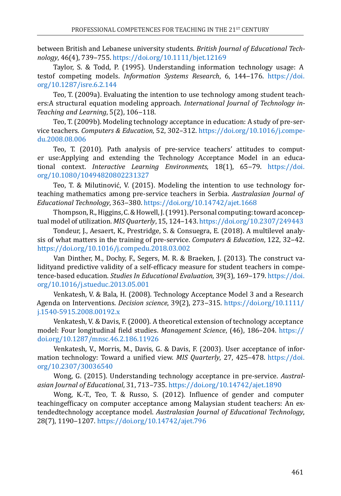between British and Lebanese university students. *British Journal of Educational Technology*, 46(4), 739‒755. <https://doi.org/10.1111/bjet.12169>

Taylor, S. & Todd, P. (1995). Understanding information technology usage: A testof competing models. *Information Systems Research*, 6, 144-176. [https://doi.](https://doi.org/10.1287/isre.6.2.144) [org/10.1287/isre.6.2.144](https://doi.org/10.1287/isre.6.2.144)

Teo, T. (2009a). Evaluating the intention to use technology among student teachers:A structural equation modeling approach. *International Journal of Technology in-*Teaching and Learning, 5(2), 106-118.

Teo, T. (2009b). Modeling technology acceptance in education: A study of pre-service teachers. *Computers & Education*, 52, 302–312. [https://doi.org/10.1016/j.compe](https://doi.org/10.1016/j.compedu.2008.08.006)[du.2008.08.006](https://doi.org/10.1016/j.compedu.2008.08.006)

Teo, T. (2010). Path analysis of pre-service teachers' attitudes to computer use:Applying and extending the Technology Acceptance Model in an educational context. *Interactive Learning Environments*, 18(1), 65–79. [https://doi.](https://doi.org/10.1080/10494820802231327) [org/10.1080/10494820802231327](https://doi.org/10.1080/10494820802231327)

Teo, T. & Milutinović, V. (2015). Modeling the intention to use technology forteaching mathematics among pre-service teachers in Serbia. *Australasian Journal of Educational Technology*, 363‒380. <https://doi.org/10.14742/ajet.1668>

Thompson, R., Higgins, C. & Howell, J. (1991). Personal computing: toward aconceptual model of utilization. *MIS Quarterly*, 15, 124–143.<https://doi.org/10.2307/249443>

Tondeur, J., Aesaert, K., Prestridge, S. & Consuegra, E. (2018). A multilevel analysis of what matters in the training of pre-service. *Computers & Education*, 122, 32‒42. <https://doi.org/10.1016/j.compedu.2018.03.002>

Van Dinther, M., Dochy, F., Segers, M. R. & Braeken, J. (2013). The construct validityand predictive validity of a self-efficacy measure for student teachers in competence-based education. *Studies In Educational Evaluation*, 39(3), 169–179. [https://doi.](https://doi.org/10.1016/j.stueduc.2013.05.001) [org/10.1016/j.stueduc.2013.05.001](https://doi.org/10.1016/j.stueduc.2013.05.001)

Venkatesh, V. & Bala, H. (2008). Technology Acceptance Model 3 and a Research Agenda on Interventions. *Decision science*, 39(2), 273‒315. [https://doi.org/10.1111/](https://doi.org/10.1111/j.1540-5915.2008.00192.x) [j.1540-5915.2008.00192.x](https://doi.org/10.1111/j.1540-5915.2008.00192.x)

Venkatesh, V. & Davis, F. (2000). A theoretical extension of technology acceptance model: Four longitudinal field studies. *Management Science*, (46), 186–204. [https://](https://doi.org/10.1287/mnsc.46.2.186.11926) [doi.org/10.1287/mnsc.46.2.186.11926](https://doi.org/10.1287/mnsc.46.2.186.11926)

Venkatesh, V., Morris, M., Davis, G. & Davis, F. (2003). User acceptance of information technology: Toward a unified view. *MIS Quarterly*, 27, 425–478. [https://doi.](https://doi.org/10.2307/30036540) [org/10.2307/30036540](https://doi.org/10.2307/30036540)

Wong, G. (2015). Understanding technology acceptance in pre-service. *Australasian Journal of Educational*, 31, 713–735.<https://doi.org/10.14742/ajet.1890>

Wong, K.-T., Teo, T. & Russo, S. (2012). Influence of gender and computer teachingefficacy on computer acceptance among Malaysian student teachers: An extendedtechnology acceptance model. *Australasian Journal of Educational Technology*, 28(7), 1190‒1207.<https://doi.org/10.14742/ajet.796>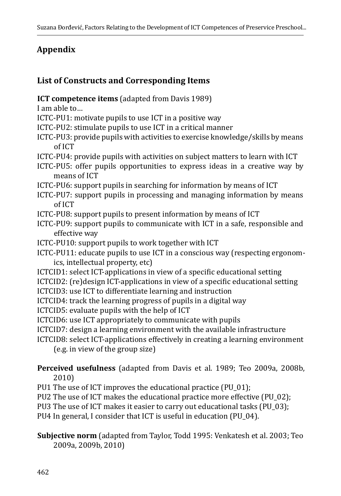# **Appendix**

## **List of Constructs and Corresponding Items**

- **ICT competence items** (adapted from Davis 1989)
- I am able to…
- ICTC-PU1: motivate pupils to use ICT in a positive way
- ICTC-PU2: stimulate pupils to use ICT in a critical manner
- ICTC-PU3: provide pupils with activities to exercise knowledge/skills by means of ICT
- ICTC-PU4: provide pupils with activities on subject matters to learn with ICT
- ICTC-PU5: offer pupils opportunities to express ideas in a creative way by means of ICT
- ICTC-PU6: support pupils in searching for information by means of ICT
- ICTC-PU7: support pupils in processing and managing information by means of ICT
- ICTC-PU8: support pupils to present information by means of ICT
- ICTC-PU9: support pupils to communicate with ICT in a safe, responsible and effective way
- ICTC-PU10: support pupils to work together with ICT
- ICTC-PU11: educate pupils to use ICT in a conscious way (respecting ergonomics, intellectual property, etc)
- ICTCID1: select ICT-applications in view of a specific educational setting
- ICTCID2: (re)design ICT-applications in view of a specific educational setting
- ICTCID3: use ICT to differentiate learning and instruction
- ICTCID4: track the learning progress of pupils in a digital way
- ICTCID5: evaluate pupils with the help of ICT
- ICTCID6: use ICT appropriately to communicate with pupils
- ICTCID7: design a learning environment with the available infrastructure
- ICTCID8: select ICT-applications effectively in creating a learning environment (e.g. in view of the group size)
- **Perceived usefulness** (adapted from Davis et al. 1989; Teo 2009a, 2008b, 2010)
- PU1 The use of ICT improves the educational practice (PU\_01);
- PU2 The use of ICT makes the educational practice more effective (PU\_02);
- PU3 The use of ICT makes it easier to carry out educational tasks (PU\_03);
- PU4 In general, I consider that ICT is useful in education (PU\_04).
- **Subjective norm** (adapted from Taylor, Todd 1995: Venkatesh et al. 2003; Teo 2009a, 2009b, 2010)